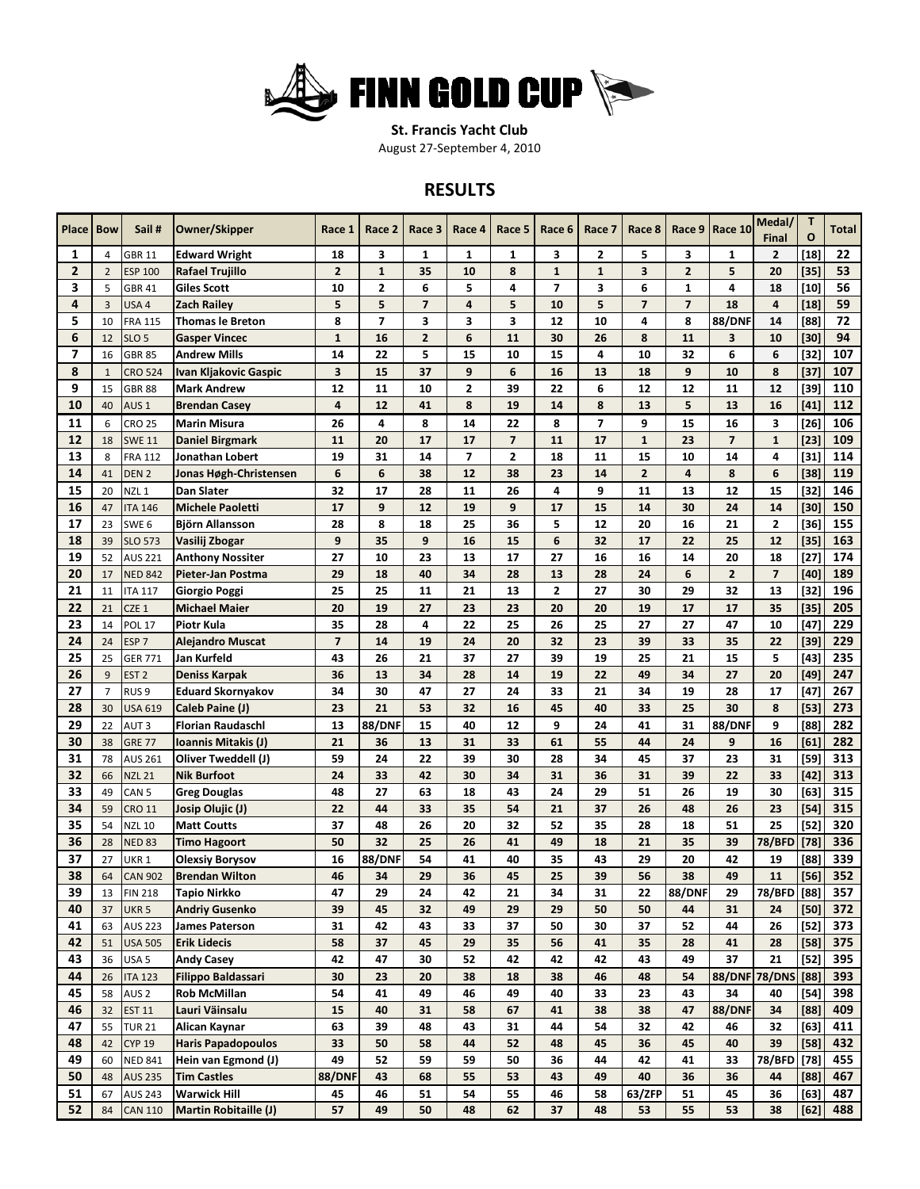

**St. Francis Yacht Club**

August 27‐September 4, 2010

## **RESULTS**

| <b>Place Bow</b> |                | Sail#                              | Owner/Skipper                          | Race 1                  | Race 2                  | Race 3         | Race 4                  | Race 5                  | Race 6                  | Race 7                  | Race 8                   | Race 9         | Race 10                 | Medal/<br><b>Final</b>  | T<br>$\mathbf{o}$ | <b>Total</b> |
|------------------|----------------|------------------------------------|----------------------------------------|-------------------------|-------------------------|----------------|-------------------------|-------------------------|-------------------------|-------------------------|--------------------------|----------------|-------------------------|-------------------------|-------------------|--------------|
| 1                | 4              | <b>GBR 11</b>                      | <b>Edward Wright</b>                   | 18                      | 3                       | 1              | 1                       | 1                       | 3                       | 2                       | 5                        | 3              | 1                       | $\mathbf{2}$            | $[18]$            | 22           |
| $\overline{2}$   | $\overline{2}$ | <b>ESP 100</b>                     | Rafael Trujillo                        | $\overline{2}$          | $\mathbf{1}$            | 35             | 10                      | 8                       | $\mathbf{1}$            | $\mathbf{1}$            | 3                        | $\overline{2}$ | 5                       | 20                      | $[35]$            | 53           |
| 3                | 5              | <b>GBR 41</b>                      | Giles Scott                            | 10                      | $\mathbf{2}$            | 6              | 5                       | 4                       | $\overline{\mathbf{z}}$ | 3                       | 6                        | $\mathbf{1}$   | 4                       | 18                      | $[10]$            | 56           |
| 4                | 3              | USA 4                              | Zach Railey                            | 5                       | 5                       | 7              | 4                       | 5                       | 10                      | 5                       | $\overline{\phantom{a}}$ | $\overline{7}$ | 18                      | 4                       | $[18]$            | 59           |
| 5                | 10             | <b>FRA 115</b>                     | <b>Thomas le Breton</b>                | 8                       | $\overline{\mathbf{z}}$ | 3              | 3                       | 3                       | 12                      | 10                      | 4                        | 8              | <b>88/DNF</b>           | 14                      | [88]              | 72           |
| 6                | 12             | SLO <sub>5</sub>                   | <b>Gasper Vincec</b>                   | $\mathbf{1}$            | 16                      | $\overline{2}$ | 6                       | 11                      | 30                      | 26                      | 8                        | 11             | $\overline{\mathbf{3}}$ | 10                      | $[30]$            | 94           |
| $\overline{7}$   | 16             | <b>GBR 85</b>                      | <b>Andrew Mills</b>                    | 14                      | 22                      | 5              | 15                      | 10                      | 15                      | 4                       | 10                       | 32             | 6                       | 6                       | $[32]$            | 107          |
| 8                | $\mathbf{1}$   | <b>CRO 524</b>                     | Ivan Kljakovic Gaspic                  | 3                       | 15                      | 37             | 9                       | 6                       | 16                      | 13                      | 18                       | 9              | 10                      | 8                       | $[37]$            | 107          |
| 9                | 15             | <b>GBR 88</b>                      | <b>Mark Andrew</b>                     | 12                      | 11                      | 10             | $\overline{\mathbf{2}}$ | 39                      | 22                      | 6                       | 12                       | 12             | 11                      | 12                      | $[39]$            | 110          |
| 10               | 40             | AUS <sub>1</sub>                   | <b>Brendan Casey</b>                   | 4                       | 12                      | 41             | 8                       | 19                      | 14                      | 8                       | 13                       | 5              | 13                      | 16                      | $[41]$            | 112          |
| 11               | 6              | <b>CRO 25</b>                      | <b>Marin Misura</b>                    | 26                      | 4                       | 8              | 14                      | 22                      | 8                       | $\overline{\mathbf{z}}$ | 9                        | 15             | 16                      | 3                       | $[26]$            | 106          |
| 12               | 18             | <b>SWE 11</b>                      | <b>Daniel Birgmark</b>                 | 11                      | 20                      | 17             | 17                      | $\overline{7}$          | 11                      | 17                      | $\mathbf{1}$             | 23             | $\overline{7}$          | $\mathbf{1}$            | $[23]$            | 109          |
| 13               | 8              | <b>FRA 112</b>                     | Jonathan Lobert                        | 19                      | 31                      | 14             | 7                       | $\overline{\mathbf{2}}$ | 18                      | 11                      | 15                       | 10             | 14                      | 4                       | $[31]$            | 114          |
| 14               | 41             | DEN <sub>2</sub>                   | Jonas Høgh-Christensen                 | 6                       | 6                       | 38             | 12                      | 38                      | 23                      | 14                      | $\overline{2}$           | $\overline{4}$ | 8                       | 6                       | [38]              | 119          |
| 15               | 20             | NZL <sub>1</sub>                   | Dan Slater                             | 32                      | 17                      | 28             | 11                      | 26                      | 4                       | 9                       | 11                       | 13             | 12                      | 15                      | $[32]$            | 146          |
| 16               | 47             | <b>ITA 146</b>                     | <b>Michele Paoletti</b>                | 17                      | 9                       | 12             | 19                      | 9                       | 17                      | 15                      | 14                       | 30             | 24                      | 14                      | $[30]$            | 150          |
| 17               | 23             | SWE <sub>6</sub>                   | Björn Allansson                        | 28                      | 8                       | 18             | 25                      | 36                      | 5                       | 12                      | 20                       | 16             | 21                      | 2                       | [36]              | 155          |
| 18               | 39             | <b>SLO 573</b>                     | Vasilij Zbogar                         | 9                       | 35                      | 9              | 16                      | 15                      | 6                       | 32                      | 17                       | 22             | 25                      | 12                      | $[35]$            | 163          |
| 19               | 52             | <b>AUS 221</b>                     | <b>Anthony Nossiter</b>                | 27                      | 10                      | 23             | 13                      | 17                      | 27                      | 16                      | 16                       | 14             | 20                      | 18                      | $[27]$            | 174          |
| 20               | 17             | <b>NED 842</b>                     | Pieter-Jan Postma                      | 29                      | 18                      | 40             | 34                      | 28                      | 13                      | 28                      | 24                       | 6              | $\overline{2}$          | $\overline{\mathbf{z}}$ | $[40]$            | 189          |
| 21               | 11             | <b>ITA 117</b>                     | Giorgio Poggi                          | 25                      | 25                      | 11             | 21                      | 13                      | $\overline{\mathbf{2}}$ | 27                      | 30                       | 29             | 32                      | 13                      | $[32]$            | 196          |
| 22               | 21             | CZE 1                              | <b>Michael Maier</b>                   | 20                      | 19                      | 27             | 23                      | 23                      | 20                      | 20                      | 19                       | 17             | 17                      | 35                      | $[35]$            | 205          |
| 23               | 14             | <b>POL 17</b>                      | Piotr Kula                             | 35                      | 28                      | 4              | 22                      | 25                      | 26                      | 25                      | 27                       | 27             | 47                      | 10                      | $[47]$            | 229          |
| 24               |                |                                    |                                        | $\overline{\mathbf{z}}$ | 14                      | 19             | 24                      | 20                      | 32                      | 23                      | 39                       | 33             | 35                      | 22                      |                   | 229          |
| 25               | 24<br>25       | ESP <sub>7</sub><br><b>GER 771</b> | <b>Alejandro Muscat</b><br>Jan Kurfeld | 43                      | 26                      | 21             | 37                      | 27                      | 39                      | 19                      | 25                       | 21             | 15                      | 5                       | [39]<br>$[43]$    | 235          |
| 26               | 9              |                                    |                                        | 36                      | 13                      |                | 28                      |                         | 19                      | 22                      | 49                       | 34             | 27                      | 20                      |                   | 247          |
| 27               |                | EST <sub>2</sub>                   | Deniss Karpak                          |                         |                         | 34             | 27                      | 14<br>24                | 33                      | 21                      | 34                       | 19             |                         |                         | $[49]$            | 267          |
|                  | $\overline{7}$ | RUS <sub>9</sub>                   | <b>Eduard Skornyakov</b>               | 34                      | 30                      | 47             |                         |                         |                         |                         |                          |                | 28                      | 17                      | [47]              |              |
| 28               | 30             | <b>USA 619</b>                     | Caleb Paine (J)                        | 23                      | 21                      | 53             | 32                      | 16                      | 45                      | 40                      | 33                       | 25             | 30                      | 8                       | $[53]$            | 273          |
| 29               | 22             | AUT <sub>3</sub>                   | <b>Florian Raudaschl</b>               | 13                      | <b>88/DNF</b>           | 15             | 40                      | 12                      | 9                       | 24                      | 41                       | 31             | <b>88/DNF</b>           | 9                       | [88]              | 282          |
| 30               | 38             | <b>GRE 77</b>                      | Ioannis Mitakis (J)                    | 21                      | 36                      | 13             | 31                      | 33                      | 61                      | 55                      | 44                       | 24             | 9                       | 16                      | [61]              | 282          |
| 31               | 78             | <b>AUS 261</b>                     | Oliver Tweddell (J)                    | 59                      | 24                      | 22             | 39                      | 30                      | 28                      | 34                      | 45                       | 37             | 23                      | 31                      | $[59]$            | 313          |
| 32               | 66             | <b>NZL 21</b>                      | <b>Nik Burfoot</b>                     | 24                      | 33                      | 42             | 30                      | 34                      | 31                      | 36                      | 31                       | 39             | 22                      | 33                      | $[42]$            | 313          |
| 33               | 49             | CAN <sub>5</sub>                   | <b>Greg Douglas</b>                    | 48                      | 27                      | 63             | 18                      | 43                      | 24                      | 29                      | 51                       | 26             | 19                      | 30                      | [63]              | 315          |
| 34               | 59             | <b>CRO 11</b>                      | Josip Olujic (J)                       | 22                      | 44                      | 33             | 35                      | 54                      | 21                      | 37                      | 26                       | 48             | 26                      | 23                      | $[54]$            | 315          |
| 35               | 54             | <b>NZL 10</b>                      | <b>Matt Coutts</b>                     | 37                      | 48                      | 26             | 20                      | 32                      | 52                      | 35                      | 28                       | 18             | 51                      | 25                      | $[52]$            | 320          |
| 36               | 28             | <b>NED 83</b>                      | <b>Timo Hagoort</b>                    | 50                      | 32                      | 25             | 26                      | 41                      | 49                      | 18                      | 21                       | 35             | 39                      | 78/BFD                  | $[78]$            | 336          |
| 37               | 27             | UKR <sub>1</sub>                   | <b>Olexsiy Borysov</b>                 | 16                      | <b>88/DNF</b>           | 54             | 41                      | 40                      | 35                      | 43                      | 29                       | 20             | 42                      | 19                      | [88]              | 339          |
| 38               | 64             | <b>CAN 902</b>                     | <b>Brendan Wilton</b>                  | 46                      | 34                      | 29             | 36                      | 45                      | 25                      | 39                      | 56                       | 38             | 49                      | 11                      | [56]              | 352          |
| 39               | 13             | <b>FIN 218</b>                     | Tapio Nirkko                           | 47                      | 29                      | 24             | 42                      | 21                      | 34                      | 31                      | 22                       | <b>88/DNF</b>  | 29                      | 78/BFD [88]             |                   | 357          |
| 40               | 37             | UKR <sub>5</sub>                   | <b>Andriy Gusenko</b>                  | 39                      | 45                      | 32             | 49                      | 29                      | 29                      | 50                      | 50                       | 44             | 31                      | 24                      | [50]              | 372          |
| 41               | 63             | <b>AUS 223</b>                     | <b>James Paterson</b>                  | 31                      | 42                      | 43             | 33                      | 37                      | 50                      | 30                      | 37                       | 52             | 44                      | 26                      | $[52]$            | 373          |
| 42               | 51             | <b>USA 505</b>                     | <b>Erik Lidecis</b>                    | 58                      | 37                      | 45             | 29                      | 35                      | 56                      | 41                      | 35                       | 28             | 41                      | 28                      | [58]              | 375          |
| 43               | 36             | USA <sub>5</sub>                   | <b>Andy Casey</b>                      | 42                      | 47                      | 30             | 52                      | 42                      | 42                      | 42                      | 43                       | 49             | 37                      | 21                      | $[52]$            | 395          |
| 44               | 26             | <b>ITA 123</b>                     | <b>Filippo Baldassari</b>              | 30                      | 23                      | 20             | 38                      | 18                      | 38                      | 46                      | 48                       | 54             | <b>88/DNF 78/DNS</b>    |                         | [88]              | 393          |
| 45               | 58             | AUS <sub>2</sub>                   | <b>Rob McMillan</b>                    | 54                      | 41                      | 49             | 46                      | 49                      | 40                      | 33                      | 23                       | 43             | 34                      | 40                      | $[54]$            | 398          |
| 46               | 32             | <b>EST 11</b>                      | Lauri Väinsalu                         | 15                      | 40                      | 31             | 58                      | 67                      | 41                      | 38                      | 38                       | 47             | <b>88/DNF</b>           | 34                      | [88]              | 409          |
| 47               | 55             | <b>TUR 21</b>                      | Alican Kaynar                          | 63                      | 39                      | 48             | 43                      | 31                      | 44                      | 54                      | 32                       | 42             | 46                      | 32                      | [63]              | 411          |
| 48               | 42             | <b>CYP 19</b>                      | <b>Haris Papadopoulos</b>              | 33                      | 50                      | 58             | 44                      | 52                      | 48                      | 45                      | 36                       | 45             | 40                      | 39                      | [58]              | 432          |
| 49               | 60             | <b>NED 841</b>                     | Hein van Egmond (J)                    | 49                      | 52                      | 59             | 59                      | 50                      | 36                      | 44                      | 42                       | 41             | 33                      | <b>78/BFD</b>           | $[78]$            | 455          |
| 50               | 48             | <b>AUS 235</b>                     | <b>Tim Castles</b>                     | <b>88/DNF</b>           | 43                      | 68             | 55                      | 53                      | 43                      | 49                      | 40                       | 36             | 36                      | 44                      | [88]              | 467          |
| 51               | 67             | <b>AUS 243</b>                     | <b>Warwick Hill</b>                    | 45                      | 46                      | 51             | 54                      | 55                      | 46                      | 58                      | 63/ZFP                   | 51             | 45                      | 36                      | $[63]$            | 487          |
| 52               | 84             | <b>CAN 110</b>                     | <b>Martin Robitaille (J)</b>           | 57                      | 49                      | 50             | 48                      | 62                      | 37                      | 48                      | 53                       | 55             | 53                      | 38                      | [62]              | 488          |